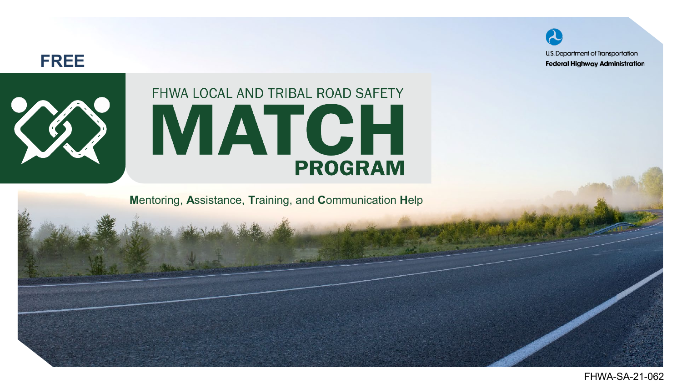U.S. Department of Transportation **Federal Highway Administration** 



#### FHWA LOCAL AND TRIBAL ROAD SAFETY **MATCH PROGRAM**

**M**entoring, **A**ssistance, **T**raining, and **C**ommunication **H**elp

FHWA-SA-21-062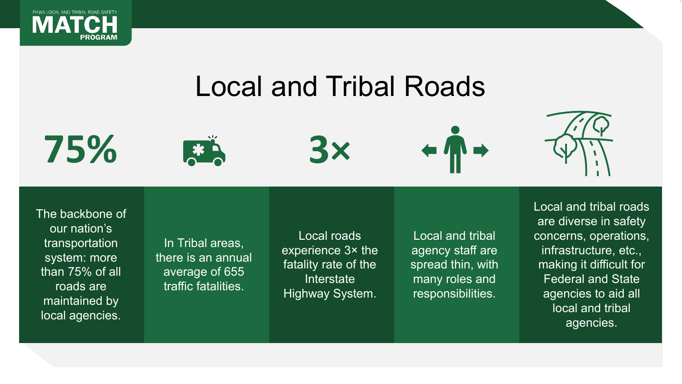

#### Local and Tribal Roads









The backbone of our nation's transportation system: more than 75% of all roads are maintained by local agencies.

In Tribal areas, there is an annual average of 655 traffic fatalities.

Local roads experience 3× the fatality rate of the Interstate Highway System.

Local and tribal agency staff are spread thin, with many roles and responsibilities.

Local and tribal roads are diverse in safety concerns, operations, infrastructure, etc., making it difficult for Federal and State agencies to aid all local and tribal agencies.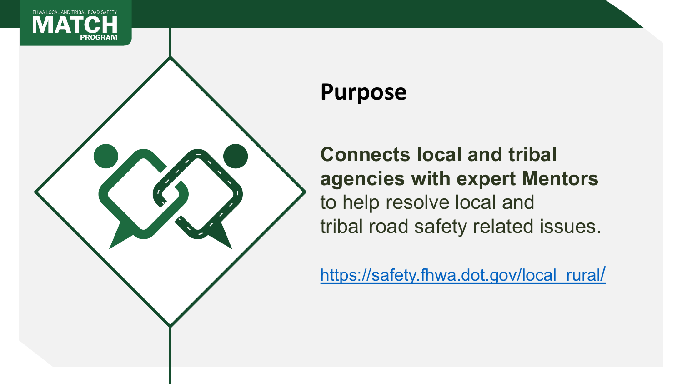



#### **Purpose**

**Connects local and tribal agencies with expert Mentors**  to help resolve local and tribal road safety related issues.

[https://safety.fhwa.dot.gov/local\\_rural/](https://safety.fhwa.dot.gov/local_rural/)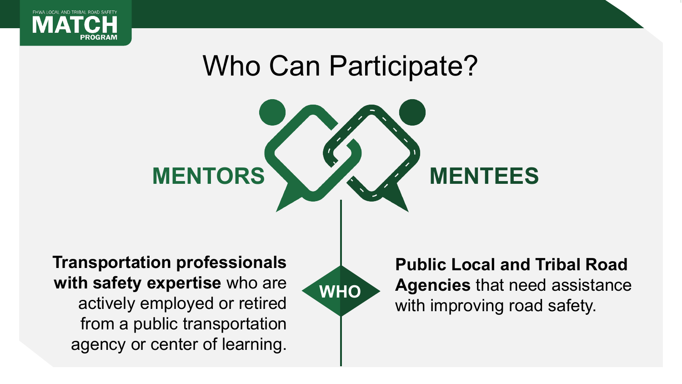

# Who Can Participate?



**Transportation professionals with safety expertise** who are actively employed or retired from a public transportation agency or center of learning.

**WHO**

**Public Local and Tribal Road Agencies** that need assistance with improving road safety.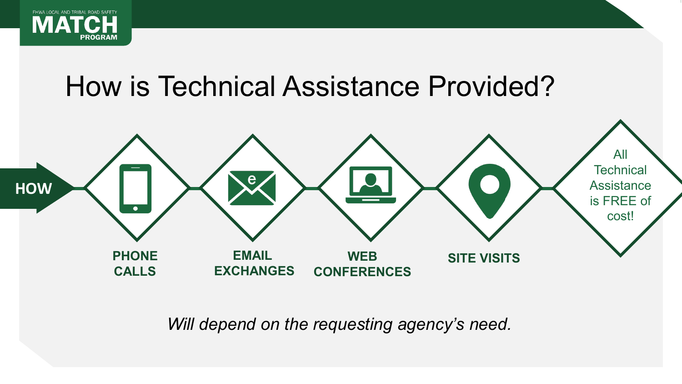

#### How is Technical Assistance Provided?



*Will depend on the requesting agency's need.*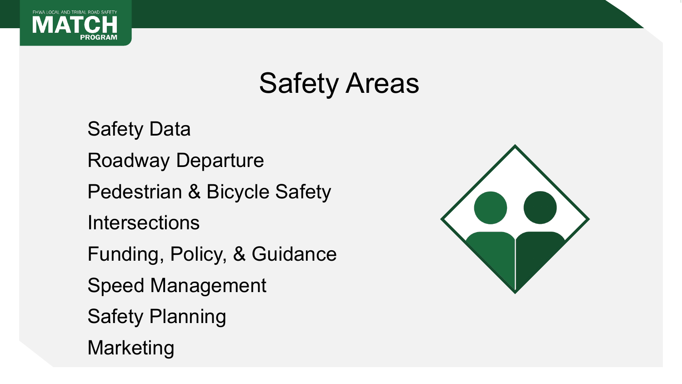

#### Safety Areas

Safety Data Roadway Departure Pedestrian & Bicycle Safety **Intersections** Funding, Policy, & Guidance Speed Management Safety Planning Marketing

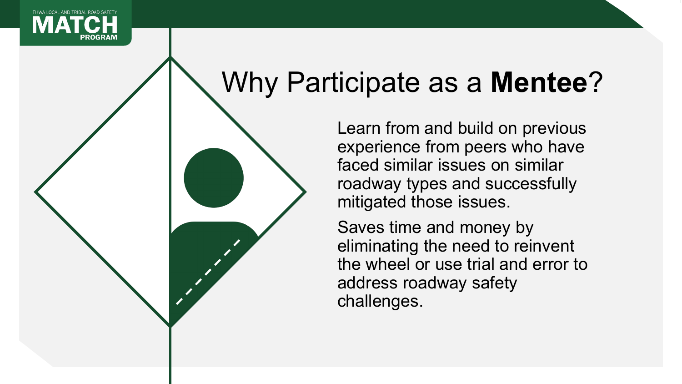

# Why Participate as a **Mentee**?

Learn from and build on previous experience from peers who have faced similar issues on similar roadway types and successfully mitigated those issues.

Saves time and money by eliminating the need to reinvent the wheel or use trial and error to address roadway safety challenges.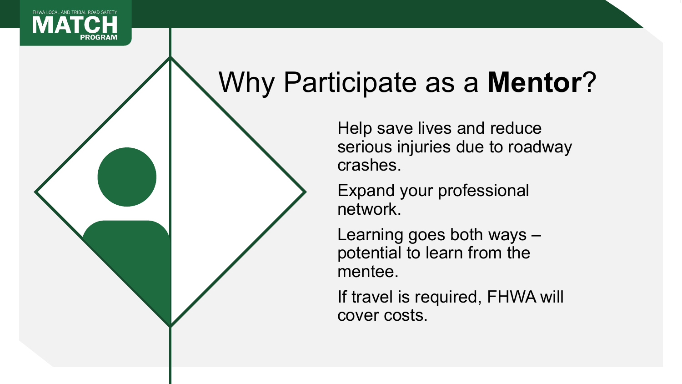

# Why Participate as a **Mentor**?

Help save lives and reduce serious injuries due to roadway crashes.

Expand your professional network.

Learning goes both ways – potential to learn from the mentee.

If travel is required, FHWA will cover costs.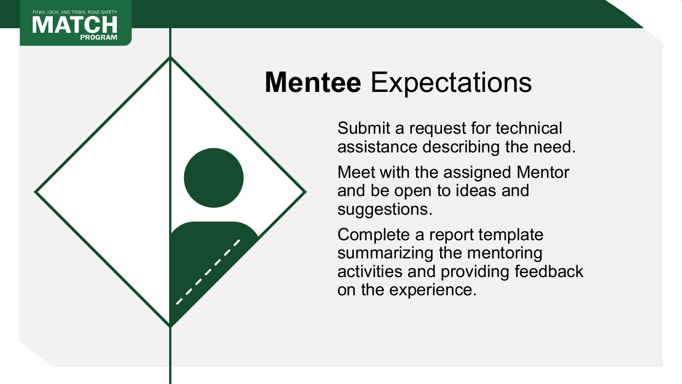

#### **Mentee** Expectations

Submit a request for technical assistance describing the need.

Meet with the assigned Mentor and be open to ideas and suggestions.

Complete a report template summarizing the mentoring activities and providing feedback on the experience.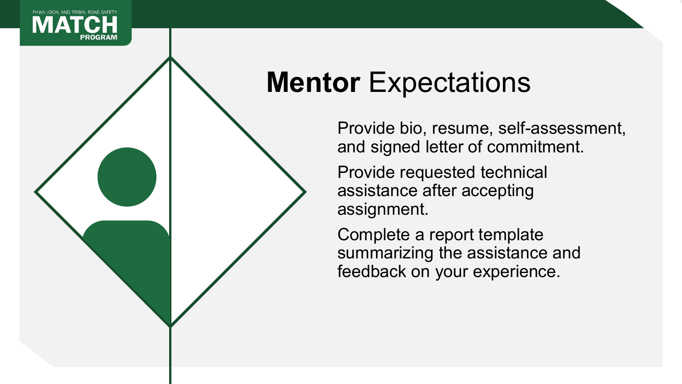

#### **Mentor** Expectations

Provide bio, resume, self-assessment, and signed letter of commitment.

Provide requested technical assistance after accepting assignment.

Complete a report template summarizing the assistance and feedback on your experience.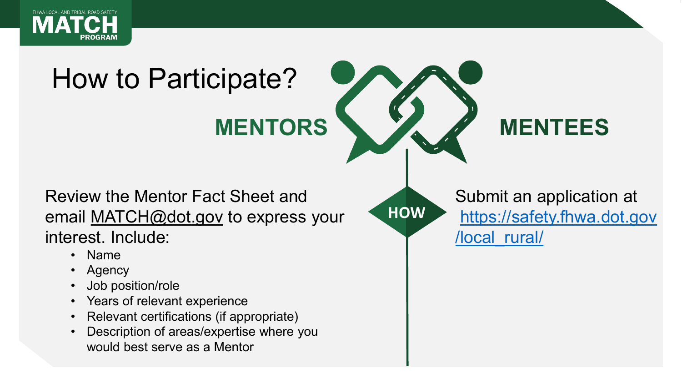

# How to Participate? **MENTORS MENTEES**

**HOW**

Review the Mentor Fact Sheet and email [MATCH@dot.gov](mailto:LTRSMP@dot.gov) to express your interest. Include:

- Name
- Agency
- Job position/role
- Years of relevant experience
- Relevant certifications (if appropriate)
- Description of areas/expertise where you would best serve as a Mentor

Submit an application at [https://safety.fhwa.dot.gov](https://safety.fhwa.dot.gov/local_rural/) /local\_rural/